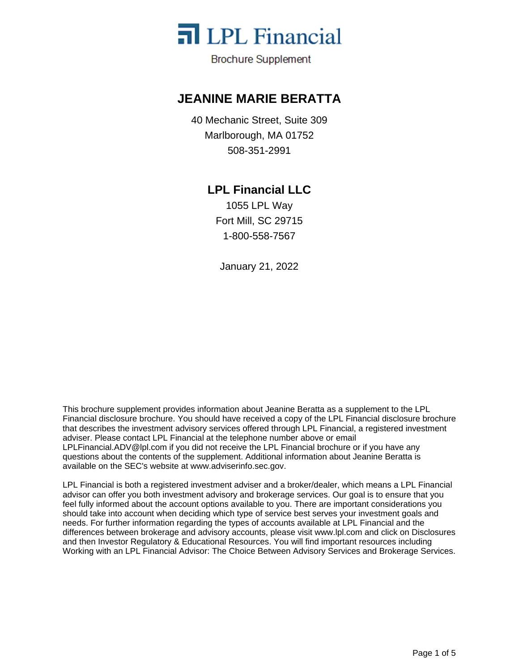

**Brochure Supplement** 

### **JEANINE MARIE BERATTA**

40 Mechanic Street, Suite 309 Marlborough, MA 01752 508-351-2991

### **LPL Financial LLC**

1055 LPL Way Fort Mill, SC 29715 1-800-558-7567

January 21, 2022

This brochure supplement provides information about Jeanine Beratta as a supplement to the LPL Financial disclosure brochure. You should have received a copy of the LPL Financial disclosure brochure that describes the investment advisory services offered through LPL Financial, a registered investment adviser. Please contact LPL Financial at the telephone number above or email LPLFinancial.ADV@lpl.com if you did not receive the LPL Financial brochure or if you have any questions about the contents of the supplement. Additional information about Jeanine Beratta is available on the SEC's website at www.adviserinfo.sec.gov.

LPL Financial is both a registered investment adviser and a broker/dealer, which means a LPL Financial advisor can offer you both investment advisory and brokerage services. Our goal is to ensure that you feel fully informed about the account options available to you. There are important considerations you should take into account when deciding which type of service best serves your investment goals and needs. For further information regarding the types of accounts available at LPL Financial and the differences between brokerage and advisory accounts, please visit www.lpl.com and click on Disclosures and then Investor Regulatory & Educational Resources. You will find important resources including Working with an LPL Financial Advisor: The Choice Between Advisory Services and Brokerage Services.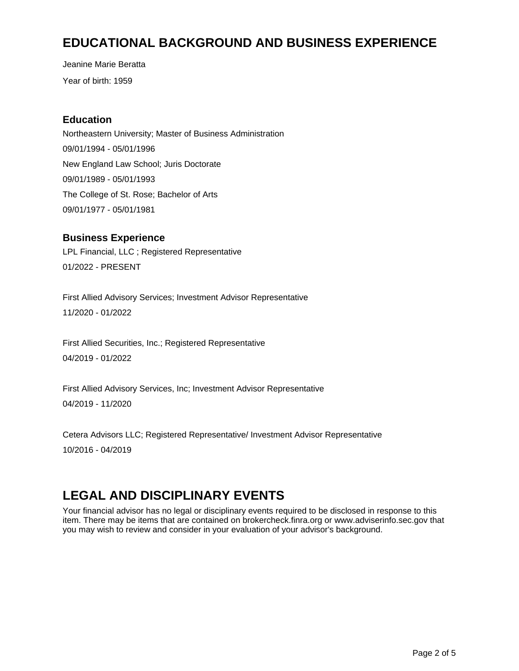## **EDUCATIONAL BACKGROUND AND BUSINESS EXPERIENCE**

Year of birth: 1959 Jeanine Marie Beratta

#### **Education**

Northeastern University; Master of Business Administration 09/01/1994 - 05/01/1996 New England Law School; Juris Doctorate 09/01/1989 - 05/01/1993 The College of St. Rose; Bachelor of Arts 09/01/1977 - 05/01/1981

#### **Business Experience**

LPL Financial, LLC ; Registered Representative 01/2022 - PRESENT

First Allied Advisory Services; Investment Advisor Representative 11/2020 - 01/2022

First Allied Securities, Inc.; Registered Representative 04/2019 - 01/2022

First Allied Advisory Services, Inc; Investment Advisor Representative 04/2019 - 11/2020

Cetera Advisors LLC; Registered Representative/ Investment Advisor Representative 10/2016 - 04/2019

# **LEGAL AND DISCIPLINARY EVENTS**

Your financial advisor has no legal or disciplinary events required to be disclosed in response to this item. There may be items that are contained on brokercheck.finra.org or www.adviserinfo.sec.gov that you may wish to review and consider in your evaluation of your advisor's background.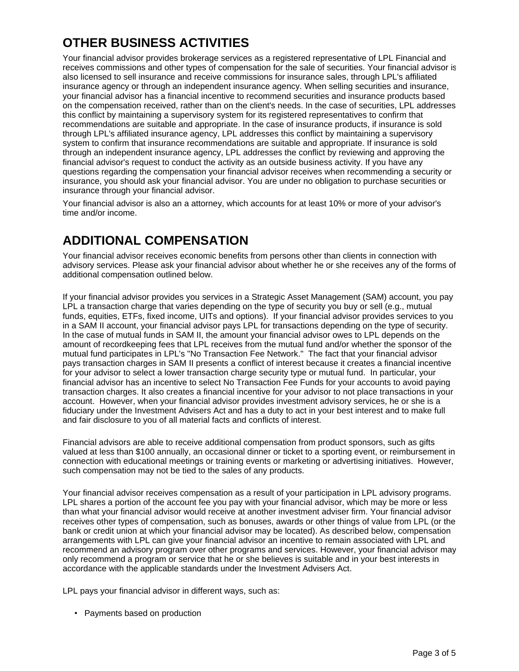# **OTHER BUSINESS ACTIVITIES**

Your financial advisor provides brokerage services as a registered representative of LPL Financial and receives commissions and other types of compensation for the sale of securities. Your financial advisor is also licensed to sell insurance and receive commissions for insurance sales, through LPL's affiliated insurance agency or through an independent insurance agency. When selling securities and insurance, your financial advisor has a financial incentive to recommend securities and insurance products based on the compensation received, rather than on the client's needs. In the case of securities, LPL addresses this conflict by maintaining a supervisory system for its registered representatives to confirm that recommendations are suitable and appropriate. In the case of insurance products, if insurance is sold through LPL's affiliated insurance agency, LPL addresses this conflict by maintaining a supervisory system to confirm that insurance recommendations are suitable and appropriate. If insurance is sold through an independent insurance agency, LPL addresses the conflict by reviewing and approving the financial advisor's request to conduct the activity as an outside business activity. If you have any questions regarding the compensation your financial advisor receives when recommending a security or insurance, you should ask your financial advisor. You are under no obligation to purchase securities or insurance through your financial advisor.

Your financial advisor is also an a attorney, which accounts for at least 10% or more of your advisor's time and/or income.

## **ADDITIONAL COMPENSATION**

Your financial advisor receives economic benefits from persons other than clients in connection with advisory services. Please ask your financial advisor about whether he or she receives any of the forms of additional compensation outlined below.

If your financial advisor provides you services in a Strategic Asset Management (SAM) account, you pay LPL a transaction charge that varies depending on the type of security you buy or sell (e.g., mutual funds, equities, ETFs, fixed income, UITs and options). If your financial advisor provides services to you in a SAM II account, your financial advisor pays LPL for transactions depending on the type of security. In the case of mutual funds in SAM II, the amount your financial advisor owes to LPL depends on the amount of recordkeeping fees that LPL receives from the mutual fund and/or whether the sponsor of the mutual fund participates in LPL's "No Transaction Fee Network." The fact that your financial advisor pays transaction charges in SAM II presents a conflict of interest because it creates a financial incentive for your advisor to select a lower transaction charge security type or mutual fund. In particular, your financial advisor has an incentive to select No Transaction Fee Funds for your accounts to avoid paying transaction charges. It also creates a financial incentive for your advisor to not place transactions in your account. However, when your financial advisor provides investment advisory services, he or she is a fiduciary under the Investment Advisers Act and has a duty to act in your best interest and to make full and fair disclosure to you of all material facts and conflicts of interest.

Financial advisors are able to receive additional compensation from product sponsors, such as gifts valued at less than \$100 annually, an occasional dinner or ticket to a sporting event, or reimbursement in connection with educational meetings or training events or marketing or advertising initiatives. However, such compensation may not be tied to the sales of any products.

Your financial advisor receives compensation as a result of your participation in LPL advisory programs. LPL shares a portion of the account fee you pay with your financial advisor, which may be more or less than what your financial advisor would receive at another investment adviser firm. Your financial advisor receives other types of compensation, such as bonuses, awards or other things of value from LPL (or the bank or credit union at which your financial advisor may be located). As described below, compensation arrangements with LPL can give your financial advisor an incentive to remain associated with LPL and recommend an advisory program over other programs and services. However, your financial advisor may only recommend a program or service that he or she believes is suitable and in your best interests in accordance with the applicable standards under the Investment Advisers Act.

LPL pays your financial advisor in different ways, such as:

• Payments based on production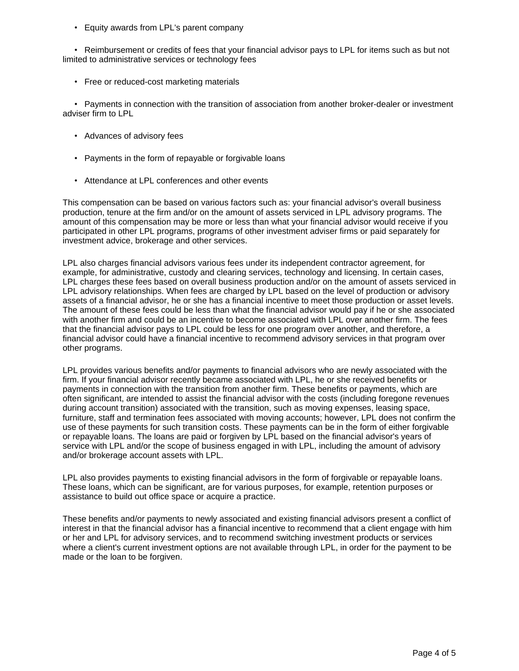Equity awards from LPL's parent company

Reimbursement or credits of fees that your financial advisor pays to LPL for items such as but not limited to administrative services or technology fees

• Free or reduced-cost marketing materials

Payments in connection with the transition of association from another broker-dealer or investment adviser firm to LPL

- Advances of advisory fees
- Payments in the form of repayable or forgivable loans
- Attendance at LPL conferences and other events

This compensation can be based on various factors such as: your financial advisor's overall business production, tenure at the firm and/or on the amount of assets serviced in LPL advisory programs. The amount of this compensation may be more or less than what your financial advisor would receive if you participated in other LPL programs, programs of other investment adviser firms or paid separately for investment advice, brokerage and other services.

LPL also charges financial advisors various fees under its independent contractor agreement, for example, for administrative, custody and clearing services, technology and licensing. In certain cases, LPL charges these fees based on overall business production and/or on the amount of assets serviced in LPL advisory relationships. When fees are charged by LPL based on the level of production or advisory assets of a financial advisor, he or she has a financial incentive to meet those production or asset levels. The amount of these fees could be less than what the financial advisor would pay if he or she associated with another firm and could be an incentive to become associated with LPL over another firm. The fees that the financial advisor pays to LPL could be less for one program over another, and therefore, a financial advisor could have a financial incentive to recommend advisory services in that program over other programs.

LPL provides various benefits and/or payments to financial advisors who are newly associated with the firm. If your financial advisor recently became associated with LPL, he or she received benefits or payments in connection with the transition from another firm. These benefits or payments, which are often significant, are intended to assist the financial advisor with the costs (including foregone revenues during account transition) associated with the transition, such as moving expenses, leasing space, furniture, staff and termination fees associated with moving accounts; however, LPL does not confirm the use of these payments for such transition costs. These payments can be in the form of either forgivable or repayable loans. The loans are paid or forgiven by LPL based on the financial advisor's years of service with LPL and/or the scope of business engaged in with LPL, including the amount of advisory and/or brokerage account assets with LPL.

LPL also provides payments to existing financial advisors in the form of forgivable or repayable loans. These loans, which can be significant, are for various purposes, for example, retention purposes or assistance to build out office space or acquire a practice.

These benefits and/or payments to newly associated and existing financial advisors present a conflict of interest in that the financial advisor has a financial incentive to recommend that a client engage with him or her and LPL for advisory services, and to recommend switching investment products or services where a client's current investment options are not available through LPL, in order for the payment to be made or the loan to be forgiven.